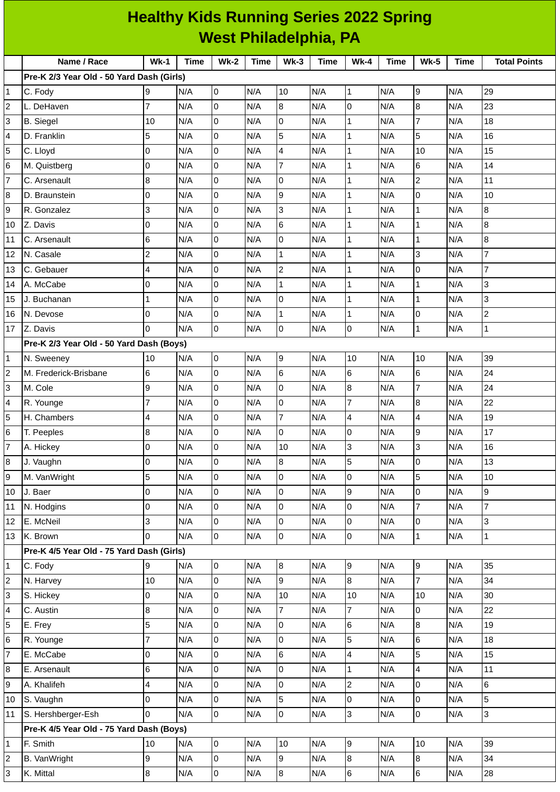|                         | <b>Healthy Kids Running Series 2022 Spring</b> |                         |             |                |             |                |             |                          |             |                             |             |                     |
|-------------------------|------------------------------------------------|-------------------------|-------------|----------------|-------------|----------------|-------------|--------------------------|-------------|-----------------------------|-------------|---------------------|
|                         | <b>West Philadelphia, PA</b>                   |                         |             |                |             |                |             |                          |             |                             |             |                     |
|                         | Name / Race                                    | $Wk-1$                  | <b>Time</b> | <b>Wk-2</b>    | <b>Time</b> | $Wk-3$         | <b>Time</b> | $Wk-4$                   | <b>Time</b> | <b>Wk-5</b>                 | <b>Time</b> | <b>Total Points</b> |
|                         | Pre-K 2/3 Year Old - 50 Yard Dash (Girls)      |                         |             |                |             |                |             |                          |             |                             |             |                     |
| $\mathbf{1}$            | C. Fody                                        | 9                       | N/A         | 0              | N/A         | 10             | N/A         | $\mathbf{1}$             | N/A         | 9                           | N/A         | 29                  |
| $\overline{\mathbf{c}}$ | L. DeHaven                                     | $\overline{7}$          | N/A         | 0              | N/A         | 8              | N/A         | $\overline{0}$           | N/A         | 8                           | N/A         | 23                  |
| 3                       | <b>B.</b> Siegel                               | 10                      | N/A         | $\overline{0}$ | N/A         | 0              | N/A         | $\mathbf{1}$             | N/A         | $\overline{7}$              | N/A         | 18                  |
| 4                       | D. Franklin                                    | 5                       | N/A         | 0              | N/A         | 5              | N/A         | $\mathbf 1$              | N/A         | 5                           | N/A         | 16                  |
| 5                       | C. Lloyd                                       | 0                       | N/A         | 0              | N/A         | 4              | N/A         | $\mathbf{1}$             | N/A         | 10                          | N/A         | 15                  |
| $6\phantom{.}6$         | M. Quistberg                                   | 0                       | N/A         | 0              | N/A         | $\overline{7}$ | N/A         | $\mathbf 1$              | N/A         | 6                           | N/A         | 14                  |
| $\overline{7}$          | C. Arsenault                                   | 8                       | N/A         | 0              | N/A         | 0              | N/A         | $\mathbf 1$              | N/A         | $\overline{c}$              | N/A         | 11                  |
| 8                       | D. Braunstein                                  | O                       | N/A         | 0              | N/A         | 9              | N/A         | $\mathbf{1}$             | N/A         | $\overline{0}$              | N/A         | 10                  |
| 9                       | R. Gonzalez                                    | 3                       | N/A         | 0              | N/A         | 3              | N/A         | $\mathbf{1}$             | N/A         | $\mathbf{1}$                | N/A         | 8                   |
| 10                      | Z. Davis                                       | 0                       | N/A         | 0              | N/A         | 6              | N/A         | $\mathbf 1$              | N/A         | $\mathbf{1}$                | N/A         | 8                   |
| 11                      | C. Arsenault                                   | 6                       | N/A         | $\overline{0}$ | N/A         | 0              | N/A         | $\mathbf{1}$             | N/A         | $\mathbf{1}$                | N/A         | $\bf{8}$            |
| 12                      | N. Casale                                      | $\overline{\mathbf{c}}$ | N/A         | 0              | N/A         | 1              | N/A         | $\mathbf{1}$             | N/A         | 3                           | N/A         | $\overline{7}$      |
| 13                      | C. Gebauer                                     | 4                       | N/A         | $\overline{0}$ | N/A         | $\overline{c}$ | N/A         | $\mathbf{1}$             | N/A         | $\overline{0}$              | N/A         | $\overline{7}$      |
| 14                      | A. McCabe                                      | 0                       | N/A         | 0              | N/A         | $\mathbf{1}$   | N/A         | $\mathbf 1$              | N/A         | $\mathbf{1}$                | N/A         | 3                   |
| 15                      | J. Buchanan                                    | $\mathbf{1}$            | N/A         | 0              | N/A         | 0              | N/A         | $\mathbf 1$              | N/A         | $\mathbf{1}$                | N/A         | 3                   |
| 16                      | N. Devose                                      | 0                       | N/A         | $\mathsf{O}$   | N/A         | $\mathbf 1$    | N/A         | $\mathbf{1}$             | N/A         | $\overline{0}$              | N/A         | $\overline{c}$      |
| 17                      | Z. Davis                                       | $\overline{0}$          | N/A         | 0              | N/A         | 0              | N/A         | $\overline{0}$           | N/A         | $\mathbf{1}$                | N/A         | $\mathbf{1}$        |
|                         | Pre-K 2/3 Year Old - 50 Yard Dash (Boys)       |                         |             |                |             |                |             |                          |             |                             |             |                     |
| 1                       | N. Sweeney                                     | 10                      | N/A         | $\overline{0}$ | N/A         | 9              | N/A         | 10                       | N/A         | 10                          | N/A         | 39                  |
| $\overline{c}$          | M. Frederick-Brisbane                          | 6                       | N/A         | 0              | N/A         | 6              | N/A         | $\,6$                    | N/A         | $\,6$                       | N/A         | 24                  |
| 3                       | M. Cole                                        | 9                       | N/A         | 0              | N/A         | 0              | N/A         | $\overline{8}$           | N/A         | $\overline{7}$              | N/A         | 24                  |
| 4                       | R. Younge                                      | $\overline{7}$          | N/A         | 0              | N/A         | 0              | N/A         | 7                        | N/A         | 8                           | N/A         | 22                  |
| 5                       | H. Chambers                                    | 4                       | N/A         | 0              | N/A         | $\overline{7}$ | N/A         | 4                        | N/A         | 4                           | N/A         | 19                  |
| 6                       | T. Peeples                                     | $\boldsymbol{8}$        | N/A         | $\overline{0}$ | N/A         | l0             | N/A         | 0                        | N/A         | 9                           | N/A         | 17                  |
| $\overline{7}$          | A. Hickey                                      | 0                       | N/A         | $\overline{0}$ | N/A         | $10\,$         | N/A         | 3                        | N/A         | $\overline{3}$              | N/A         | 16                  |
| 8                       | J. Vaughn                                      | 0                       | N/A         | 0              | N/A         | 8              | N/A         | 5                        | N/A         | $\overline{0}$              | N/A         | 13                  |
| 9                       | M. VanWright                                   | 5                       | N/A         | $\overline{0}$ | N/A         | 0              | N/A         | $\mathsf 0$              | N/A         | 5                           | N/A         | $10\,$              |
| 10                      | J. Baer                                        | 0                       | N/A         | 0              | N/A         | 0              | N/A         | $\boldsymbol{9}$         | N/A         | $\boldsymbol{0}$            | N/A         | 9                   |
| 11                      | N. Hodgins                                     | 0                       | N/A         | $\overline{0}$ | N/A         | 0              | N/A         | $\mathsf 0$              | N/A         | $\overline{7}$              | N/A         | $\overline{7}$      |
| 12                      | E. McNeil                                      | 3                       | N/A         | 0              | N/A         | 0              | N/A         | $\overline{0}$           | N/A         | 0                           | N/A         | 3                   |
| 13                      | K. Brown                                       | 0                       | N/A         | 0              | N/A         | 0              | N/A         | $\overline{0}$           | N/A         | $\mathbf{1}$                | N/A         | $\mathbf{1}$        |
|                         | Pre-K 4/5 Year Old - 75 Yard Dash (Girls)      |                         |             |                |             |                |             |                          |             |                             |             |                     |
| $\mathbf{1}$            | C. Fody                                        | 9                       | N/A         | $\overline{0}$ | N/A         | 8              | N/A         | 9                        | N/A         | 9                           | N/A         | 35                  |
| $\overline{c}$          | N. Harvey                                      | $10\,$                  | N/A         | 0              | N/A         | 9              | N/A         | $\overline{8}$           | N/A         | $\overline{7}$              | N/A         | 34                  |
| 3                       | S. Hickey                                      | 0                       | N/A         | $\overline{0}$ | N/A         | 10             | N/A         | 10                       | N/A         | 10                          | N/A         | 30                  |
| 4                       | C. Austin                                      | 8                       | N/A         | 0              | N/A         | 7              | N/A         | $\overline{7}$           | N/A         | $\overline{0}$              | N/A         | 22                  |
| 5                       | E. Frey                                        | 5                       | N/A         | $\overline{0}$ | N/A         | 0              | N/A         | $\,6$                    | N/A         | $\bf{8}$                    | N/A         | 19                  |
| 6                       | R. Younge                                      | $\overline{7}$          | N/A         | 0              | N/A         | 0              | N/A         | 5                        | N/A         | $\,6$                       | N/A         | 18                  |
| $\overline{7}$          | E. McCabe                                      | 0                       | N/A         | 0              | N/A         | 6              | N/A         | $\overline{\mathcal{L}}$ | N/A         | 5                           | N/A         | 15                  |
| 8                       | E. Arsenault                                   | 6                       | N/A         | $\overline{0}$ | N/A         | 0              | N/A         | $\mathbf 1$              | N/A         | $\overline{4}$              | N/A         | 11                  |
| 9                       | A. Khalifeh                                    | 4                       | N/A         | 0              | N/A         | 0              | N/A         | $\overline{c}$           | N/A         | $\overline{0}$              | N/A         | 6                   |
| 10                      | S. Vaughn                                      | 0                       | N/A         | 0              | N/A         | 5              | N/A         | 0                        | N/A         | $\overline{0}$              | N/A         | 5                   |
| 11                      | S. Hershberger-Esh                             | 0                       | N/A         | $\overline{0}$ | N/A         | 0              | N/A         | 3                        | N/A         | $\overline{0}$              | N/A         | 3                   |
|                         | Pre-K 4/5 Year Old - 75 Yard Dash (Boys)       |                         |             |                |             |                |             |                          |             |                             |             |                     |
| 1                       | F. Smith                                       | 10                      | N/A         | $\overline{0}$ | N/A         | 10             | N/A         | $\overline{9}$           | N/A         | 10                          | N/A         | 39                  |
| 2                       | <b>B.</b> VanWright                            | 9                       | N/A         | $\overline{0}$ | N/A         | 9              | N/A         | $\bf{8}$                 | N/A         | $\boldsymbol{8}$<br>$\,6\,$ | N/A         | 34                  |
| 3                       | K. Mittal                                      | 8                       | N/A         | 0              | N/A         | 8              | N/A         | $\,6$                    | N/A         |                             | N/A         | 28                  |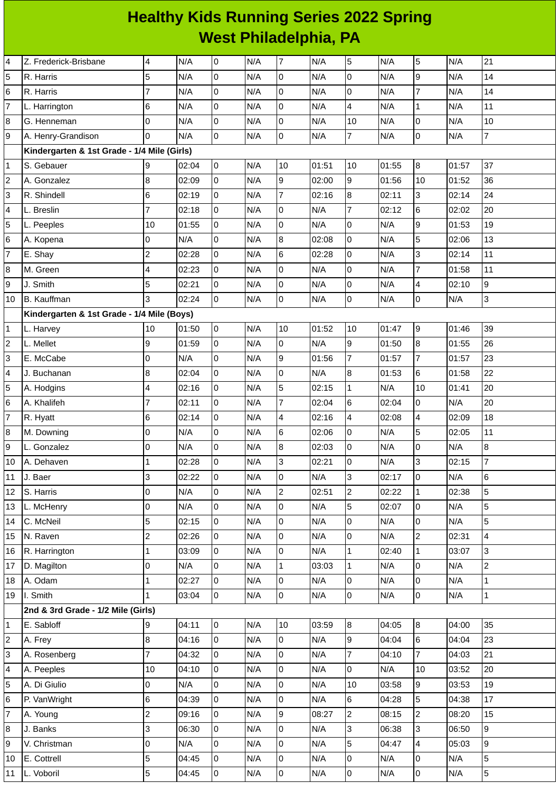## **Healthy Kids Running Series 2022 Spring West Philadelphia, PA**

| 4                         | Z. Frederick-Brisbane                       | $\overline{\mathcal{A}}$ | N/A   | $\overline{0}$ | N/A | $\overline{7}$ | N/A   | 5                | N/A   | 5              | N/A   | 21               |
|---------------------------|---------------------------------------------|--------------------------|-------|----------------|-----|----------------|-------|------------------|-------|----------------|-------|------------------|
| 5                         | R. Harris                                   | 5                        | N/A   | l0             | N/A | 0              | N/A   | $\mathbf 0$      | N/A   | 9              | N/A   | 14               |
| 6                         | R. Harris                                   | $\overline{7}$           | N/A   | $\overline{0}$ | N/A | $\mathsf 0$    | N/A   | $\overline{0}$   | N/A   | $\overline{7}$ | N/A   | 14               |
| $\overline{7}$            | L. Harrington                               | 6                        | N/A   | $\pmb{0}$      | N/A | $\mathbf 0$    | N/A   | $\overline{4}$   | N/A   | $\mathbf{1}$   | N/A   | $11\,$           |
| 8                         | G. Henneman                                 | l0                       | N/A   | $\overline{0}$ | N/A | $\overline{0}$ | N/A   | 10               | N/A   | 0              | N/A   | $10\,$           |
| 9                         | A. Henry-Grandison                          | $\overline{0}$           | N/A   | l0             | N/A | $\overline{0}$ | N/A   | 7                | N/A   | 0              | N/A   | $\boldsymbol{7}$ |
|                           | Kindergarten & 1st Grade - 1/4 Mile (Girls) |                          |       |                |     |                |       |                  |       |                |       |                  |
| $\mathbf{1}$              | S. Gebauer                                  | 9                        | 02:04 | l0             | N/A | 10             | 01:51 | 10               | 01:55 | 8              | 01:57 | 37               |
| $\overline{c}$            | A. Gonzalez                                 | 8                        | 02:09 | $\overline{0}$ | N/A | 9              | 02:00 | 9                | 01:56 | 10             | 01:52 | 36               |
| 3                         | R. Shindell                                 | $6\phantom{.}6$          | 02:19 | $\overline{0}$ | N/A | $\overline{7}$ | 02:16 | $\bf{8}$         | 02:11 | 3              | 02:14 | 24               |
| 4                         | L. Breslin                                  | $\overline{7}$           | 02:18 | $\overline{0}$ | N/A | $\mathsf 0$    | N/A   | $\overline{7}$   | 02:12 | 6              | 02:02 | 20               |
| 5                         | L. Peeples                                  | 10                       | 01:55 | 0              | N/A | $\mathbf 0$    | N/A   | $\overline{0}$   | N/A   | 9              | 01:53 | 19               |
| 6                         | A. Kopena                                   | 0                        | N/A   | O              | N/A | $\bf{8}$       | 02:08 | $\mathsf{O}$     | N/A   | 5              | 02:06 | 13               |
| $\overline{\mathfrak{c}}$ | E. Shay                                     | $\overline{c}$           | 02:28 | $\overline{0}$ | N/A | 6              | 02:28 | O                | N/A   | 3              | 02:14 | $11\,$           |
| 8                         | M. Green                                    | 4                        | 02:23 | $\overline{0}$ | N/A | $\mathsf 0$    | N/A   | l0               | N/A   | $\overline{7}$ | 01:58 | $11\,$           |
| 9                         | J. Smith                                    | 5                        | 02:21 | $\overline{0}$ | N/A | $\mathsf 0$    | N/A   | $\overline{0}$   | N/A   | 4              | 02:10 | 9                |
| 10                        | <b>B.</b> Kauffman                          | 3                        | 02:24 | l0             | N/A | $\mathsf 0$    | N/A   | 0                | N/A   | 0              | N/A   | 3                |
|                           | Kindergarten & 1st Grade - 1/4 Mile (Boys)  |                          |       |                |     |                |       |                  |       |                |       |                  |
| $\mathbf{1}$              | L. Harvey                                   | 10                       | 01:50 | l0             | N/A | 10             | 01:52 | 10               | 01:47 | 9              | 01:46 | 39               |
| $\overline{c}$            | L. Mellet                                   | 9                        | 01:59 | $\pmb{0}$      | N/A | $\mathsf 0$    | N/A   | $\overline{9}$   | 01:50 | 8              | 01:55 | 26               |
| 3                         | E. McCabe                                   | 0                        | N/A   | O              | N/A | 9              | 01:56 | $\overline{7}$   | 01:57 | $\overline{7}$ | 01:57 | 23               |
| 4                         | J. Buchanan                                 | $\bf 8$                  | 02:04 | $\overline{0}$ | N/A | $\mathsf 0$    | N/A   | $\boldsymbol{8}$ | 01:53 | 6              | 01:58 | 22               |
| 5                         | A. Hodgins                                  | 4                        | 02:16 | $\overline{0}$ | N/A | 5              | 02:15 | $\mathbf{1}$     | N/A   | 10             | 01:41 | 20               |
| 6                         | A. Khalifeh                                 | 7                        | 02:11 | $\overline{0}$ | N/A | $\overline{7}$ | 02:04 | 6                | 02:04 | 0              | N/A   | 20               |
| $\overline{7}$            | R. Hyatt                                    | $\,$ 6                   | 02:14 | 0              | N/A | $\pmb{4}$      | 02:16 | 4                | 02:08 | 4              | 02:09 | 18               |
| 8                         | M. Downing                                  | $\overline{0}$           | N/A   | $\overline{0}$ | N/A | 6              | 02:06 | l0               | N/A   | 5              | 02:05 | 11               |
| 9                         | L. Gonzalez                                 | 0                        | N/A   | 0              | N/A | $\bf 8$        | 02:03 | 0                | N/A   | 0              | N/A   | 8                |
| 10                        | A. Dehaven                                  | $\overline{1}$           | 02:28 | l0             | N/A | 3              | 02:21 | $\overline{0}$   | N/A   | 3              | 02:15 | $\overline{7}$   |
| 11                        | J. Baer                                     | 3                        | 02:22 | lo             | N/A | 0              | N/A   | 3                | 02:17 | 0              | N/A   | 6                |
| 12                        | S. Harris                                   | $\overline{0}$           | N/A   | $\overline{0}$ | N/A | $\overline{c}$ | 02:51 | $\overline{c}$   | 02:22 | $\mathbf 1$    | 02:38 | 5                |
| 13                        | L. McHenry                                  | O                        | N/A   | $\overline{0}$ | N/A | 0              | N/A   | $\overline{5}$   | 02:07 | 0              | N/A   | 5                |
| 14                        | C. McNeil                                   | 5                        | 02:15 | l0             | N/A | l0             | N/A   | $\overline{0}$   | N/A   | 0              | N/A   | 5                |
| 15                        | N. Raven                                    | $\overline{c}$           | 02:26 | 0              | N/A | 0              | N/A   | $\overline{0}$   | N/A   | $\overline{c}$ | 02:31 | 4                |
| 16                        | R. Harrington                               | $\mathbf{1}$             | 03:09 | Iо             | N/A | $\mathsf 0$    | N/A   | $\mathbf{1}$     | 02:40 | $\mathbf{1}$   | 03:07 | 3                |
| 17                        | D. Magilton                                 | 0                        | N/A   | $\overline{0}$ | N/A | $\mathbf 1$    | 03:03 | $\mathbf{1}$     | N/A   | 0              | N/A   | $\mathbf{2}$     |
| 18                        | A. Odam                                     | $\mathbf{1}$             | 02:27 | $\overline{0}$ | N/A | $\pmb{0}$      | N/A   | 0                | N/A   | 0              | N/A   | $\mathbf 1$      |
| 19                        | I. Smith                                    | $\mathbf{1}$             | 03:04 | l0             | N/A | l0             | N/A   | $\overline{0}$   | N/A   | 0              | N/A   | $\mathbf{1}$     |
|                           | 2nd & 3rd Grade - 1/2 Mile (Girls)          |                          |       |                |     |                |       |                  |       |                |       |                  |
| $\mathbf 1$               | E. Sabloff                                  | 9                        | 04:11 | l0             | N/A | 10             | 03:59 | 8                | 04:05 | 8              | 04:00 | 35               |
| $\overline{c}$            | A. Frey                                     | 8                        | 04:16 | lo.            | N/A | 0              | N/A   | $\overline{9}$   | 04:04 | 6              | 04:04 | 23               |
| 3                         | A. Rosenberg                                | $\overline{7}$           | 04:32 | $\overline{0}$ | N/A | 0              | N/A   | $\overline{7}$   | 04:10 | $\overline{7}$ | 04:03 | 21               |
| 4                         | A. Peeples                                  | 10                       | 04:10 | l0             | N/A | $\mathsf 0$    | N/A   | $\overline{0}$   | N/A   | 10             | 03:52 | 20               |
| 5                         | A. Di Giulio                                | 0                        | N/A   | $\overline{0}$ | N/A | $\overline{0}$ | N/A   | 10               | 03:58 | 9              | 03:53 | 19               |
| 6                         | P. VanWright                                | $\,6$                    | 04:39 | $\overline{0}$ | N/A | $\mathsf 0$    | N/A   | $6\phantom{a}$   | 04:28 | 5              | 04:38 | 17               |
| $\overline{7}$            | A. Young                                    | $\overline{c}$           | 09:16 | l0             | N/A | g              | 08:27 | $\overline{2}$   | 08:15 | $\overline{c}$ | 08:20 | 15               |
| 8                         | J. Banks                                    | 3                        | 06:30 | 0              | N/A | 0              | N/A   | 3                | 06:38 | 3              | 06:50 | 9                |
| 9                         | V. Christman                                | $\mathsf 0$              | N/A   | 0              | N/A | 0              | N/A   | 5                | 04:47 | 4              | 05:03 | 9                |
| 10                        | E. Cottrell                                 | 5                        | 04:45 | Iо             | N/A | l0             | N/A   | 0                | N/A   | 0              | N/A   | 5                |
| 11                        | L. Voboril                                  | 5                        | 04:45 | 0              | N/A | 0              | N/A   | $\overline{0}$   | N/A   | 0              | N/A   | $\mathbf 5$      |
|                           |                                             |                          |       |                |     |                |       |                  |       |                |       |                  |